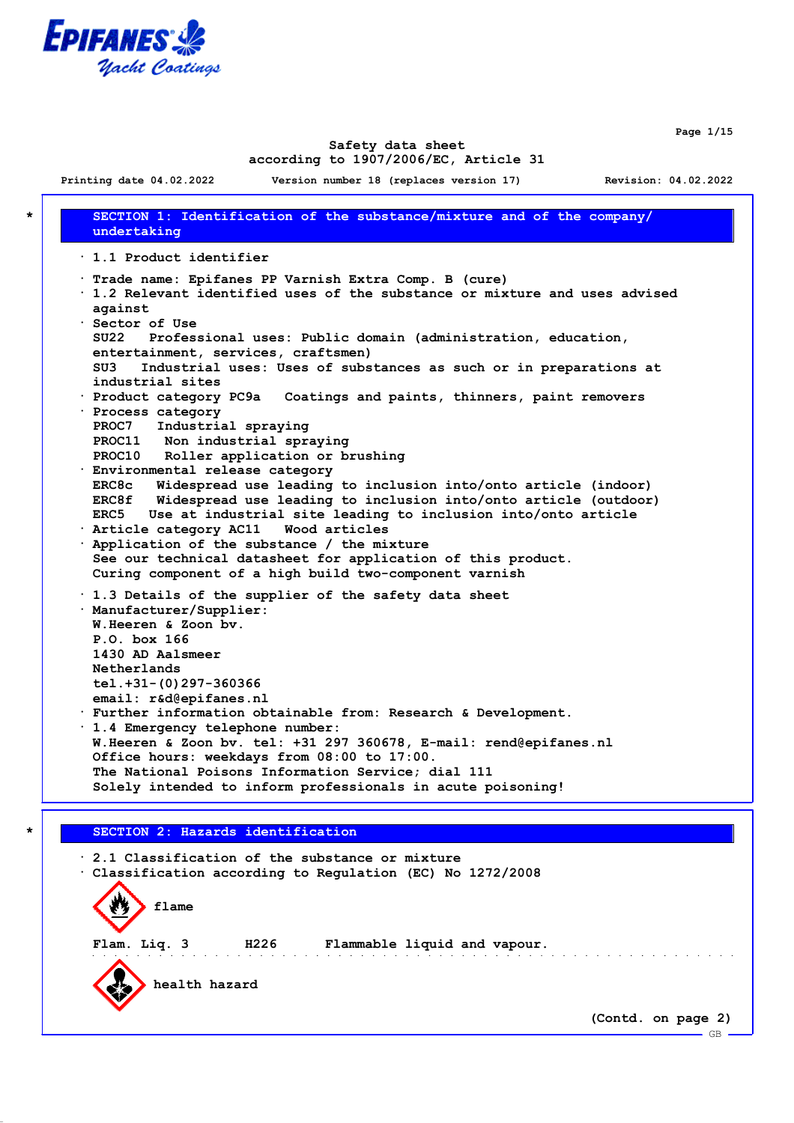

**Page 1/15**

 $-$  GB  $-$ 

### **Safety data sheet according to 1907/2006/EC, Article 31**

**Printing date 04.02.2022 Version number 18 (replaces version 17) Revision: 04.02.2022**

**\* SECTION 1: Identification of the substance/mixture and of the company/ undertaking · 1.1 Product identifier · Trade name: Epifanes PP Varnish Extra Comp. B (cure) · 1.2 Relevant identified uses of the substance or mixture and uses advised against · Sector of Use SU22 Professional uses: Public domain (administration, education, entertainment, services, craftsmen) SU3 Industrial uses: Uses of substances as such or in preparations at industrial sites · Product category PC9a Coatings and paints, thinners, paint removers · Process category PROC7 Industrial spraying PROC11 Non industrial spraying PROC10 Roller application or brushing · Environmental release category ERC8c Widespread use leading to inclusion into/onto article (indoor) ERC8f Widespread use leading to inclusion into/onto article (outdoor) ERC5 Use at industrial site leading to inclusion into/onto article · Article category AC11 Wood articles · Application of the substance / the mixture See our technical datasheet for application of this product. Curing component of a high build two-component varnish · 1.3 Details of the supplier of the safety data sheet · Manufacturer/Supplier: W.Heeren & Zoon bv. P.O. box 166 1430 AD Aalsmeer Netherlands tel.+31-(0)297-360366 email: r&d@epifanes.nl · Further information obtainable from: Research & Development. · 1.4 Emergency telephone number: W.Heeren & Zoon bv. tel: +31 297 360678, E-mail: rend@epifanes.nl Office hours: weekdays from 08:00 to 17:00. The National Poisons Information Service; dial 111 Solely intended to inform professionals in acute poisoning! \* SECTION 2: Hazards identification**

**· 2.1 Classification of the substance or mixture · Classification according to Regulation (EC) No 1272/2008 flame Flam. Liq. 3 H226 Flammable liquid and vapour. health hazard (Contd. on page 2)**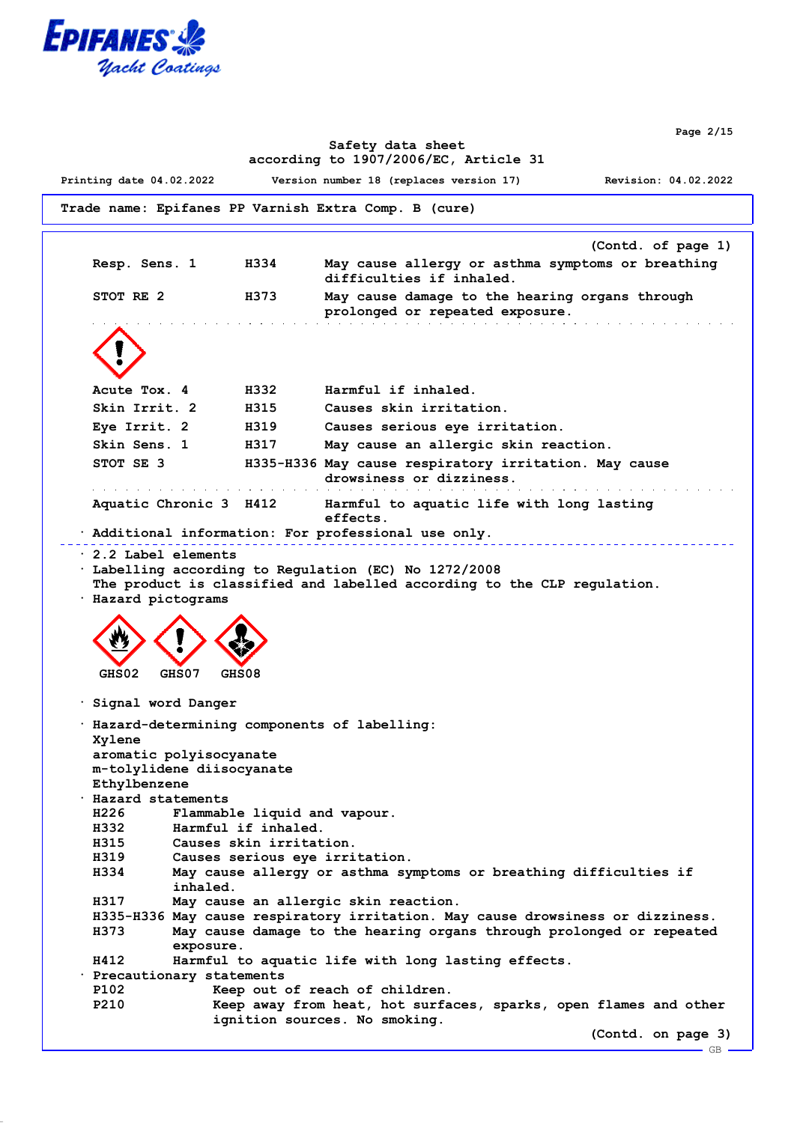

**Page 2/15**

 $-GB$ .

#### **Safety data sheet according to 1907/2006/EC, Article 31**

**Printing date 04.02.2022 Version number 18 (replaces version 17) Revision: 04.02.2022**

```
Trade name: Epifanes PP Varnish Extra Comp. B (cure)
```

```
(Contd. of page 1)
 Resp. Sens. 1 H334 May cause allergy or asthma symptoms or breathing
                                 difficulties if inhaled.
 STOT RE 2 H373 May cause damage to the hearing organs through
                                prolonged or repeated exposure.
 Acute Tox. 4 H332 Harmful if inhaled.
 Skin Irrit. 2 H315 Causes skin irritation.
 Eye Irrit. 2 H319 Causes serious eye irritation.
 Skin Sens. 1 H317 May cause an allergic skin reaction.
 STOT SE 3 H335-H336 May cause respiratory irritation. May cause
                                drowsiness or dizziness.
 .<br>In de la casa de la casa de la casa de la casa de la casa de la casa de la casa de la casa de la casa de la ca
                                                              <u>a sa kacamatan ing kabupatèn Indonesia. Ing kacamatan ing kacamatan ing kacamatan ing kacamatan ing kacamatan ing kacamatan ing kacamatan ing kacamatan ing kacamatan ing kacamatan ing kacamatan ing kacamatan ing kacamatan</u>
 Aquatic Chronic 3 H412 Harmful to aquatic life with long lasting
                                 effects.
· Additional information: For professional use only.
                                                             · 2.2 Label elements
· Labelling according to Regulation (EC) No 1272/2008
 The product is classified and labelled according to the CLP regulation.
· Hazard pictograms
  GHS02 GHS07 GHS08
· Signal word Danger
· Hazard-determining components of labelling:
 Xylene
 aromatic polyisocyanate
 m-tolylidene diisocyanate
 Ethylbenzene
· Hazard statements
 H226 Flammable liquid and vapour.
 H332 Harmful if inhaled.
 H315 Causes skin irritation.
 H319 Causes serious eye irritation.
 H334 May cause allergy or asthma symptoms or breathing difficulties if
            inhaled.
 H317 May cause an allergic skin reaction.
 H335-H336 May cause respiratory irritation. May cause drowsiness or dizziness.
 H373 May cause damage to the hearing organs through prolonged or repeated
            exposure.
 H412 Harmful to aquatic life with long lasting effects.
· Precautionary statements
 P102 Keep out of reach of children.
 P210 Keep away from heat, hot surfaces, sparks, open flames and other
                  ignition sources. No smoking.
                                                                     (Contd. on page 3)
```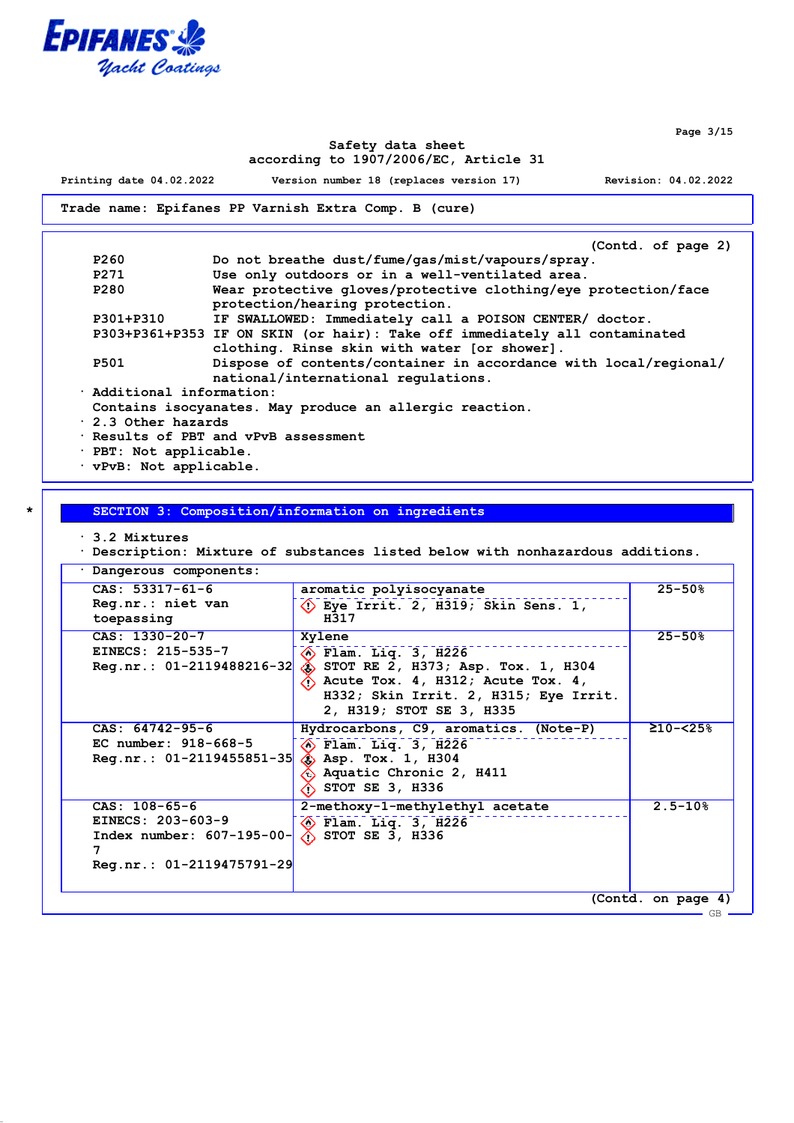

**Page 3/15**

GB

### **Safety data sheet according to 1907/2006/EC, Article 31**

**Printing date 04.02.2022 Version number 18 (replaces version 17) Revision: 04.02.2022**

**Trade name: Epifanes PP Varnish Extra Comp. B (cure)**

|                                                         | (Contd. of page 2)                                                         |  |
|---------------------------------------------------------|----------------------------------------------------------------------------|--|
| P260                                                    | Do not breathe dust/fume/gas/mist/vapours/spray.                           |  |
| P271                                                    | Use only outdoors or in a well-ventilated area.                            |  |
| P280                                                    | Wear protective gloves/protective clothing/eye protection/face             |  |
|                                                         | protection/hearing protection.                                             |  |
| P301+P310                                               | IF SWALLOWED: Immediately call a POISON CENTER/ doctor.                    |  |
|                                                         | P303+P361+P353 IF ON SKIN (or hair): Take off immediately all contaminated |  |
|                                                         | clothing. Rinse skin with water [or shower].                               |  |
| <b>P501</b>                                             | Dispose of contents/container in accordance with local/regional/           |  |
|                                                         | national/international requlations.                                        |  |
| . Additional information:                               |                                                                            |  |
| Contains isocyanates. May produce an allergic reaction. |                                                                            |  |
| $\cdot$ 2.3 Other hazards                               |                                                                            |  |
|                                                         | . Results of PBT and vPvB assessment                                       |  |
| · PBT: Not applicable.                                  |                                                                            |  |

**· vPvB: Not applicable.**

**\* SECTION 3: Composition/information on ingredients**

**· 3.2 Mixtures**

**· Description: Mixture of substances listed below with nonhazardous additions.**

| Dangerous components:                                                                                  |                                                                                                                                                                                                                     |                         |
|--------------------------------------------------------------------------------------------------------|---------------------------------------------------------------------------------------------------------------------------------------------------------------------------------------------------------------------|-------------------------|
| $CAS: 53317-61-6$<br>Reg.nr.: niet van<br>toepassing                                                   | aromatic polyisocyanate<br>$\langle$ 1) Eye Irrit. 2, H319; Skin Sens. 1,<br>H317                                                                                                                                   | $25 - 50%$              |
| $CAS: 1330-20-7$<br>EINECS: 215-535-7<br>$Reg.nr.: 01-2119488216-32$                                   | Xylene<br>$\otimes$ Flam. Liq. 3, H226<br>$\hat{\textbf{S}}$ STOT RE 2, H373; Asp. Tox. 1, H304<br>$\langle$ Acute Tox. 4, H312; Acute Tox. 4,<br>H332; Skin Irrit. 2, H315; Eye Irrit.<br>2, H319; STOT SE 3, H335 | $25 - 50%$              |
| $CAS: 64742-95-6$<br>EC number: 918-668-5<br>$Reg.nr.: 01-2119455851-35$                               | Hydrocarbons, C9, aromatics. (Note-P)<br>$\langle \bullet \rangle$ Flam. Liq. 3, H226<br>$\diamondsuit$ Asp. Tox. 1, H304<br>$\hat{\mathbb{C}}$ Aquatic Chronic 2, H411<br>$\hat{ }$ STOT SE 3, H336                | $210 - 25$ <sup>8</sup> |
| $CAS: 108-65-6$<br>EINECS: 203-603-9<br>Index number: $607-195-00$<br>7<br>$Reg.nr.: 01-2119475791-29$ | 2-methoxy-1-methylethyl acetate<br>$\circledcirc$ Flam. Liq. 3, H226<br>$\Diamond$ STOT SE 3, H336                                                                                                                  | $2.5 - 10%$             |
|                                                                                                        |                                                                                                                                                                                                                     | (Contd. on page 4)      |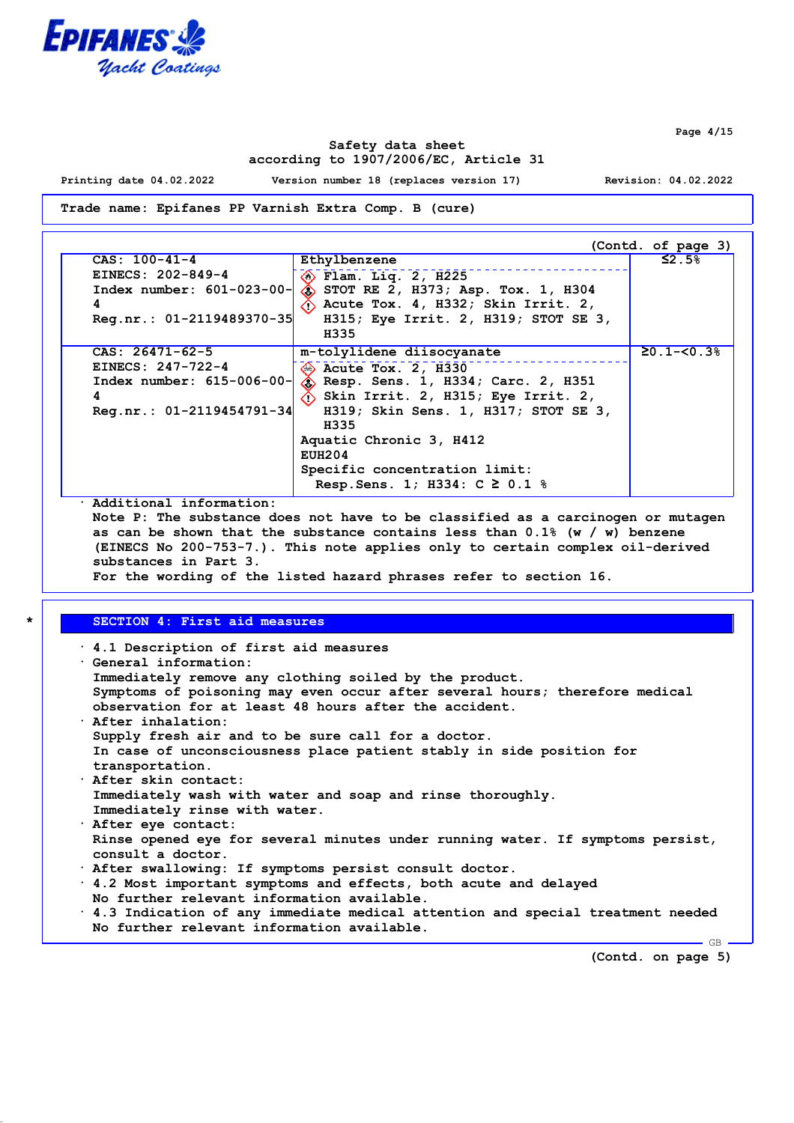

**Safety data sheet according to 1907/2006/EC, Article 31**

**Printing date 04.02.2022 Version number 18 (replaces version 17) Revision: 04.02.2022**

**Trade name: Epifanes PP Varnish Extra Comp. B (cure)**

| $CAS: 100-41-4$             | Ethylbenzene                                               | $\leq$ 2 . 5%  |
|-----------------------------|------------------------------------------------------------|----------------|
| EINECS: 202-849-4           | $\diamondsuit$ Flam. Liq. 2, H225                          |                |
| $Index number: 601-023-00-$ | $\hat{ }$ STOT RE 2, H373; Asp. Tox. 1, H304               |                |
| 4                           | $\langle \cdot \rangle$ Acute Tox. 4, H332; Skin Irrit. 2, |                |
| Reg.nr.: 01-2119489370-35   | H315; Eye Irrit. 2, H319; STOT SE 3,<br>H335               |                |
| $CAS: 26471-62-5$           | m-tolylidene diisocyanate                                  | $20.1 - 50.38$ |
| EINECS: $247 - 722 - 4$     | $\otimes$ Acute Tox. 2, H330                               |                |
| $Index number: 615-006-00-$ | Sesp. Sens. 1, H334; Carc. 2, H351                         |                |
| 4                           | $\langle \cdot \rangle$ Skin Irrit. 2, H315; Eye Irrit. 2, |                |
| $Reg.nr.: 01-2119454791-34$ | H319; Skin Sens. 1, H317; STOT SE 3,                       |                |
|                             | H335                                                       |                |
|                             | Aquatic Chronic 3, H412                                    |                |
|                             | EUH204                                                     |                |
|                             | Specific concentration limit:                              |                |
|                             | Resp. Sens. 1; H334: C $\geq$ 0.1 %                        |                |

**· Additional information:**

**Note P: The substance does not have to be classified as a carcinogen or mutagen as can be shown that the substance contains less than 0.1% (w / w) benzene (EINECS No 200-753-7.). This note applies only to certain complex oil-derived substances in Part 3. For the wording of the listed hazard phrases refer to section 16.**

### **\* SECTION 4: First aid measures**

| $\cdot$ 4.1 Description of first aid measures<br>Ceneral information:                  |
|----------------------------------------------------------------------------------------|
| Immediately remove any clothing soiled by the product.                                 |
| Symptoms of poisoning may even occur after several hours; therefore medical            |
| observation for at least 48 hours after the accident.                                  |
| $\cdot$ After inhalation:                                                              |
| Supply fresh air and to be sure call for a doctor.                                     |
| In case of unconsciousness place patient stably in side position for                   |
| transportation.                                                                        |
| · After skin contact:                                                                  |
| Immediately wash with water and soap and rinse thoroughly.                             |
| Immediately rinse with water.                                                          |
| · After eye contact:                                                                   |
| Rinse opened eye for several minutes under running water. If symptoms persist,         |
| consult a doctor.                                                                      |
| . After swallowing: If symptoms persist consult doctor.                                |
| . 4.2 Most important symptoms and effects, both acute and delayed                      |
| No further relevant information available.                                             |
| $\cdot$ 4.3 Indication of any immediate medical attention and special treatment needed |
| No further relevant information available.                                             |

**(Contd. on page 5)**

GB

**Page 4/15**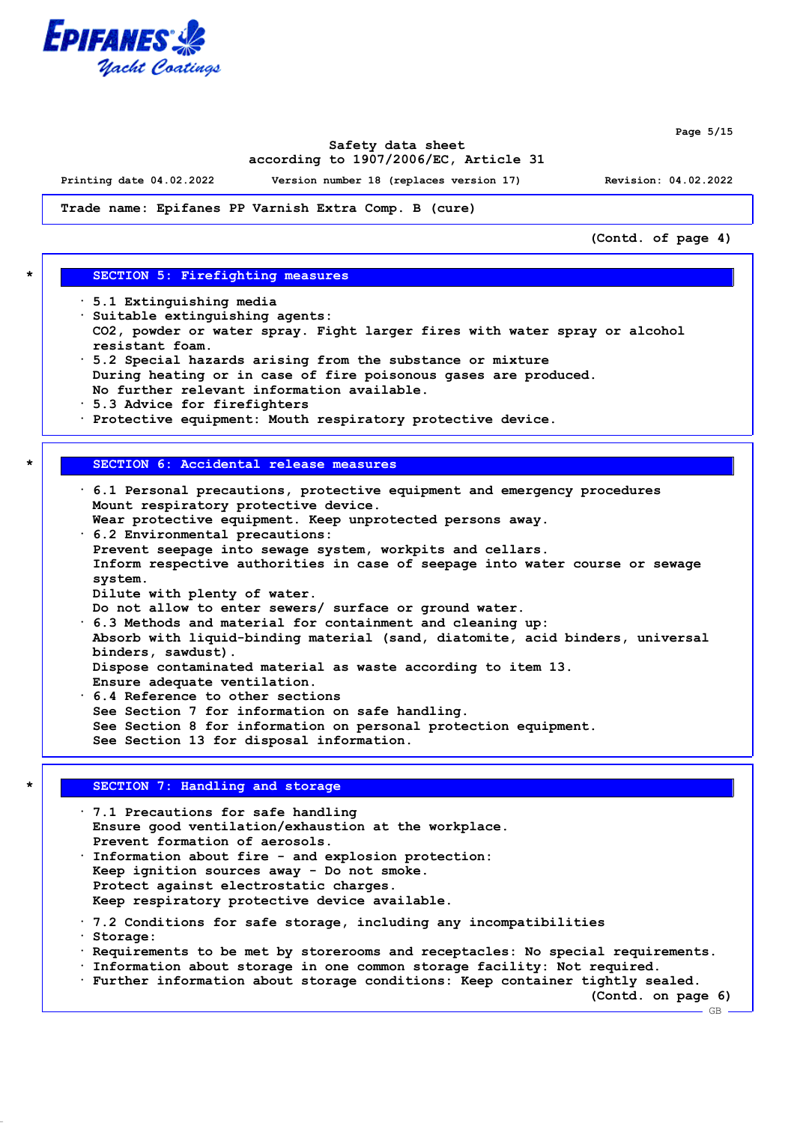

**Page 5/15**

### **Safety data sheet according to 1907/2006/EC, Article 31**

**Printing date 04.02.2022 Version number 18 (replaces version 17) Revision: 04.02.2022**

**Trade name: Epifanes PP Varnish Extra Comp. B (cure)**

**(Contd. of page 4)**

#### **\* SECTION 5: Firefighting measures**

- **· 5.1 Extinguishing media**
- **· Suitable extinguishing agents:**
- **CO2, powder or water spray. Fight larger fires with water spray or alcohol resistant foam.**
- **· 5.2 Special hazards arising from the substance or mixture During heating or in case of fire poisonous gases are produced. No further relevant information available.**
- **· 5.3 Advice for firefighters**
- **· Protective equipment: Mouth respiratory protective device.**

#### **\* SECTION 6: Accidental release measures**

- **· 6.1 Personal precautions, protective equipment and emergency procedures Mount respiratory protective device. Wear protective equipment. Keep unprotected persons away.**
- **· 6.2 Environmental precautions:**
- **Prevent seepage into sewage system, workpits and cellars. Inform respective authorities in case of seepage into water course or sewage system.**
- **Dilute with plenty of water.**
- **Do not allow to enter sewers/ surface or ground water.**
- **· 6.3 Methods and material for containment and cleaning up: Absorb with liquid-binding material (sand, diatomite, acid binders, universal binders, sawdust). Dispose contaminated material as waste according to item 13. Ensure adequate ventilation.**
- **· 6.4 Reference to other sections**
- **See Section 7 for information on safe handling.**
- **See Section 8 for information on personal protection equipment.**
- **See Section 13 for disposal information.**

## **\* SECTION 7: Handling and storage**

**· 7.1 Precautions for safe handling Ensure good ventilation/exhaustion at the workplace. Prevent formation of aerosols. · Information about fire - and explosion protection: Keep ignition sources away - Do not smoke. Protect against electrostatic charges. Keep respiratory protective device available. · 7.2 Conditions for safe storage, including any incompatibilities · Storage: · Requirements to be met by storerooms and receptacles: No special requirements. · Information about storage in one common storage facility: Not required.**

**· Further information about storage conditions: Keep container tightly sealed.**

**(Contd. on page 6)**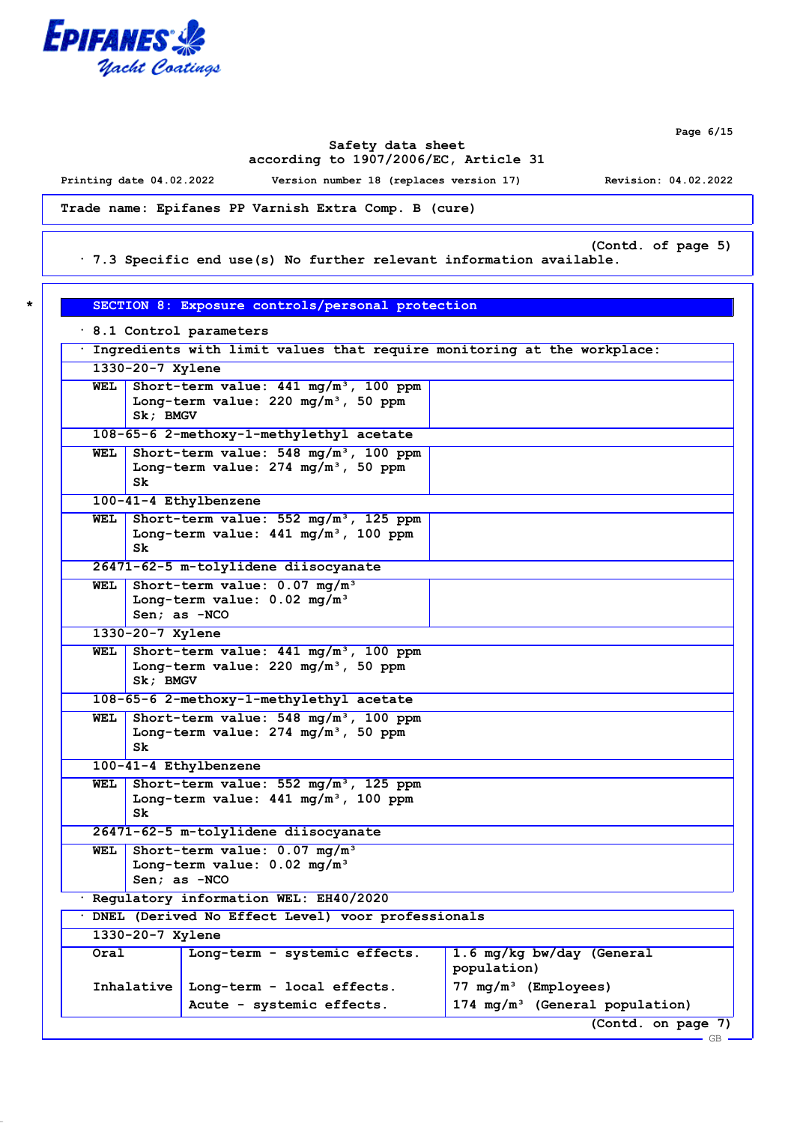

**Page 6/15**

GB

## **Safety data sheet according to 1907/2006/EC, Article 31**

**Printing date 04.02.2022 Version number 18 (replaces version 17) Revision: 04.02.2022**

**· 8.1 Control parameters**

**Trade name: Epifanes PP Varnish Extra Comp. B (cure)**

**(Contd. of page 5)**

**· 7.3 Specific end use(s) No further relevant information available.**

| * 1 | SECTION 8: Exposure controls/personal protection |
|-----|--------------------------------------------------|
|     |                                                  |

| Ingredients with limit values that require monitoring at the workplace: |                                                                                                             |                                                                                                        |                                            |
|-------------------------------------------------------------------------|-------------------------------------------------------------------------------------------------------------|--------------------------------------------------------------------------------------------------------|--------------------------------------------|
|                                                                         | 1330-20-7 Xylene                                                                                            |                                                                                                        |                                            |
| WEL                                                                     | Sk; BMGV                                                                                                    | Short-term value: $441 \text{ mg/m}^3$ , 100 ppm<br>Long-term value: 220 mg/m <sup>3</sup> , 50 ppm    |                                            |
|                                                                         |                                                                                                             | 108-65-6 2-methoxy-1-methylethyl acetate                                                               |                                            |
| WEL                                                                     | Sk.                                                                                                         | Short-term value: 548 mg/m <sup>3</sup> , 100 ppm<br>Long-term value: 274 mg/m <sup>3</sup> , 50 ppm   |                                            |
|                                                                         |                                                                                                             | 100-41-4 Ethylbenzene                                                                                  |                                            |
| WEL                                                                     | Sk.                                                                                                         | Short-term value: 552 mg/m <sup>3</sup> , 125 ppm<br>Long-term value: $441 \text{ mg/m}^3$ , 100 ppm   |                                            |
|                                                                         |                                                                                                             | 26471-62-5 m-tolylidene diisocyanate                                                                   |                                            |
| WEL                                                                     |                                                                                                             | Short-term value: 0.07 mg/m <sup>3</sup><br>Long-term value: $0.02$ mg/m <sup>3</sup><br>Sen; as -NCO  |                                            |
|                                                                         | 1330-20-7 Xylene                                                                                            |                                                                                                        |                                            |
| WEL                                                                     | Sk: BMGV                                                                                                    | Short-term value: 441 mg/m <sup>3</sup> , 100 ppm<br>Long-term value: $220$ mg/m <sup>3</sup> , 50 ppm |                                            |
|                                                                         |                                                                                                             | 108-65-6 2-methoxy-1-methylethyl acetate                                                               |                                            |
| WEL                                                                     | Sk                                                                                                          | Short-term value: $548 \text{ mg/m}^3$ , 100 ppm<br>Long-term value: $274 \text{ mg/m}^3$ , 50 ppm     |                                            |
|                                                                         |                                                                                                             | 100-41-4 Ethylbenzene                                                                                  |                                            |
| WEL                                                                     | Short-term value: 552 mg/m <sup>3</sup> , 125 ppm<br>Long-term value: 441 mg/m <sup>3</sup> , 100 ppm<br>Sk |                                                                                                        |                                            |
|                                                                         |                                                                                                             | 26471-62-5 m-tolylidene diisocyanate                                                                   |                                            |
| WEL                                                                     | Short-term value: 0.07 mg/m <sup>3</sup><br>Long-term value: $0.02 \text{ mg/m}^3$<br>$Sen: as -NCO$        |                                                                                                        |                                            |
|                                                                         | · Regulatory information WEL: EH40/2020                                                                     |                                                                                                        |                                            |
|                                                                         |                                                                                                             | · DNEL (Derived No Effect Level) voor professionals                                                    |                                            |
|                                                                         | 1330-20-7 Xylene                                                                                            |                                                                                                        |                                            |
| Oral                                                                    |                                                                                                             | Long-term - systemic effects.                                                                          | 1.6 mg/kg bw/day (General<br>population)   |
|                                                                         | Inhalative                                                                                                  | Long-term - local effects.                                                                             | 77 $mq/m^3$ (Employees)                    |
|                                                                         |                                                                                                             | Acute - systemic effects.                                                                              | 174 mg/m <sup>3</sup> (General population) |
|                                                                         |                                                                                                             |                                                                                                        | (Contd. on page 7)                         |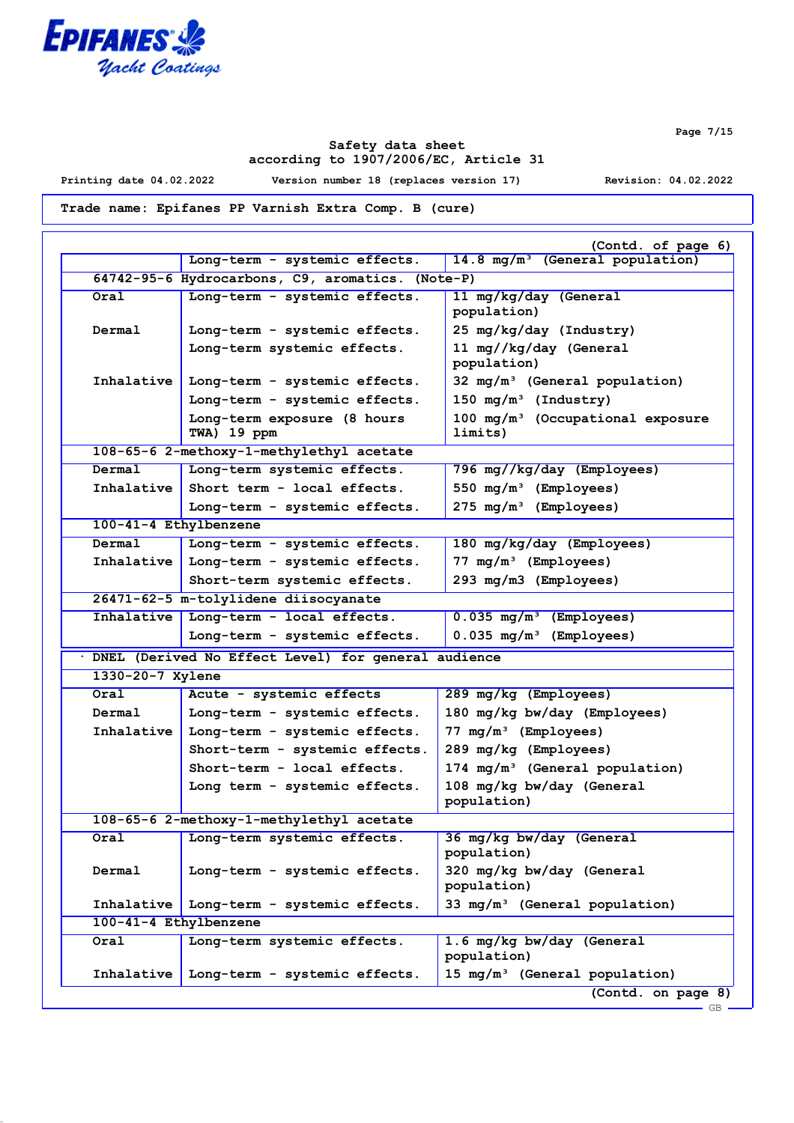

**Safety data sheet according to 1907/2006/EC, Article 31**

**Printing date 04.02.2022 Version number 18 (replaces version 17) Revision: 04.02.2022**

**Trade name: Epifanes PP Varnish Extra Comp. B (cure)**

|                       | Long-term - systemic effects.                       | (Contd. of page 6)<br>14.8 mg/m <sup>3</sup> (General population) |
|-----------------------|-----------------------------------------------------|-------------------------------------------------------------------|
|                       | 64742-95-6 Hydrocarbons, C9, aromatics. (Note-P)    |                                                                   |
|                       |                                                     |                                                                   |
| Oral                  | Long-term - systemic effects.                       | 11 mg/kg/day (General<br>population)                              |
| Dermal                | Long-term - systemic effects.                       | 25 mg/kg/day (Industry)                                           |
|                       | Long-term systemic effects.                         | 11 mg//kg/day (General<br>population)                             |
| Inhalative            | Long-term - systemic effects.                       | $32 \text{ mg/m}^3$ (General population)                          |
|                       | Long-term - systemic effects.                       | 150 $mg/m^3$ (Industry)                                           |
|                       | Long-term exposure (8 hours<br>TWA) 19 ppm          | $100$ mg/m <sup>3</sup> (Occupational exposure<br>limits)         |
|                       | 108-65-6 2-methoxy-1-methylethyl acetate            |                                                                   |
| Dermal                | Long-term systemic effects.                         | 796 mg//kg/day (Employees)                                        |
| Inhalative            | Short term - local effects.                         | 550 $mg/m^3$ (Employees)                                          |
|                       | Long-term - systemic effects.                       | 275 mg/m <sup>3</sup> (Employees)                                 |
| 100-41-4 Ethylbenzene |                                                     |                                                                   |
| Dermal                | Long-term - systemic effects.                       | 180 mg/kg/day (Employees)                                         |
| Inhalative            | Long-term - systemic effects.                       | $77 \text{ mg/m}^3$ (Employees)                                   |
|                       | Short-term systemic effects.                        | 293 mg/m3 (Employees)                                             |
|                       | 26471-62-5 m-tolylidene diisocyanate                |                                                                   |
| Inhalative            | Long-term - local effects.                          | $0.035 \text{ mg/m}^3$ (Employees)                                |
|                       | Long-term - systemic effects.                       | $0.035 \,\mathrm{mg/m^3}$ (Employees)                             |
|                       | DNEL (Derived No Effect Level) for general audience |                                                                   |
| 1330-20-7 Xylene      |                                                     |                                                                   |
| Oral                  | Acute - systemic effects                            | 289 mg/kg (Employees)                                             |
| Dermal                | Long-term - systemic effects.                       | 180 mg/kg bw/day (Employees)                                      |
| Inhalative            | Long-term - systemic effects.                       | $77 \text{ mg/m}^3$ (Employees)                                   |
|                       | Short-term - systemic effects.                      | 289 mg/kg (Employees)                                             |
|                       | Short-term - local effects.                         | $174 \text{ mg/m}^3$ (General population)                         |
|                       | Long term - systemic effects.                       | 108 mg/kg bw/day (General<br>population)                          |
|                       | 108-65-6 2-methoxy-1-methylethyl acetate            |                                                                   |
| Oral                  | Long-term systemic effects.                         | 36 mg/kg bw/day (General<br>population)                           |
| Dermal                | Long-term - systemic effects.                       | 320 mg/kg bw/day (General<br>population)                          |
| Inhalative            | Long-term - systemic effects.                       | 33 mg/m <sup>3</sup> (General population)                         |
| 100-41-4 Ethylbenzene |                                                     |                                                                   |
| Oral                  | Long-term systemic effects.                         | 1.6 mg/kg bw/day (General<br>population)                          |
| Inhalative            | Long-term - systemic effects.                       | 15 $mg/m^3$ (General population)                                  |
|                       |                                                     | (Contd. on page 8)                                                |

**Page 7/15**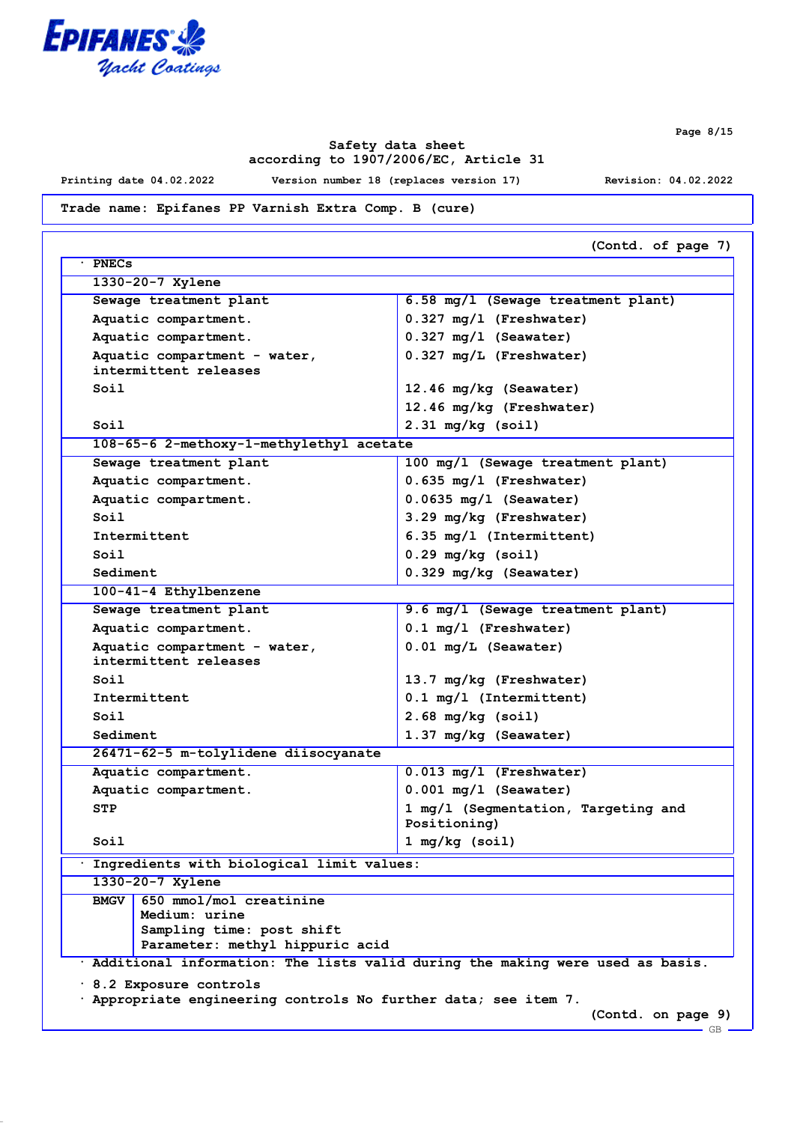

**Page 8/15**

## **Safety data sheet according to 1907/2006/EC, Article 31**

**Printing date 04.02.2022 Version number 18 (replaces version 17) Revision: 04.02.2022**

**Trade name: Epifanes PP Varnish Extra Comp. B (cure)**

| <b>PNECs</b>                                                                                                            |                                                                                 |
|-------------------------------------------------------------------------------------------------------------------------|---------------------------------------------------------------------------------|
| 1330-20-7 Xylene                                                                                                        |                                                                                 |
| Sewage treatment plant                                                                                                  | 6.58 mg/l (Sewage treatment plant)                                              |
| Aquatic compartment.                                                                                                    | $0.327$ mg/l (Freshwater)                                                       |
| Aquatic compartment.                                                                                                    | $0.327$ mg/l (Seawater)                                                         |
| Aquatic compartment - water,<br>intermittent releases                                                                   | 0.327 mg/L (Freshwater)                                                         |
| Soil                                                                                                                    | 12.46 mg/kg (Seawater)                                                          |
|                                                                                                                         | 12.46 mg/kg (Freshwater)                                                        |
| Soil                                                                                                                    | $2.31$ mg/kg (soil)                                                             |
| 108-65-6 2-methoxy-1-methylethyl acetate                                                                                |                                                                                 |
| Sewage treatment plant                                                                                                  | 100 mg/l (Sewage treatment plant)                                               |
| Aquatic compartment.                                                                                                    | $0.635$ mg/l (Freshwater)                                                       |
| Aquatic compartment.                                                                                                    | $0.0635$ mg/l (Seawater)                                                        |
| Soil                                                                                                                    | 3.29 mg/kg (Freshwater)                                                         |
| Intermittent                                                                                                            | 6.35 mg/l (Intermittent)                                                        |
| Soil                                                                                                                    | $0.29$ mg/kg (soil)                                                             |
| Sediment                                                                                                                | 0.329 mg/kg (Seawater)                                                          |
| 100-41-4 Ethylbenzene                                                                                                   |                                                                                 |
| Sewage treatment plant                                                                                                  | 9.6 mg/l (Sewage treatment plant)                                               |
| Aquatic compartment.                                                                                                    | $0.1$ mg/l (Freshwater)                                                         |
| Aquatic compartment - water,                                                                                            | $0.01$ mg/L (Seawater)                                                          |
| intermittent releases                                                                                                   |                                                                                 |
| Soil                                                                                                                    | 13.7 mg/kg (Freshwater)                                                         |
| Intermittent                                                                                                            | 0.1 mg/l (Intermittent)                                                         |
| Soil                                                                                                                    | $2.68$ mg/kg (soil)                                                             |
| Sediment                                                                                                                | 1.37 mg/kg (Seawater)                                                           |
| 26471-62-5 m-tolylidene diisocyanate                                                                                    |                                                                                 |
| Aquatic compartment.                                                                                                    | $0.013$ mg/l (Freshwater)                                                       |
| Aquatic compartment.                                                                                                    | $0.001$ mg/l (Seawater)                                                         |
| <b>STP</b>                                                                                                              | 1 mg/l (Segmentation, Targeting and<br>Positioning)                             |
| Soil                                                                                                                    | 1 mg/kg (soil)                                                                  |
| Ingredients with biological limit values:                                                                               |                                                                                 |
| 1330-20-7 Xylene                                                                                                        |                                                                                 |
| 650 mmol/mol creatinine<br><b>BMGV</b><br>Medium: urine<br>Sampling time: post shift<br>Parameter: methyl hippuric acid |                                                                                 |
|                                                                                                                         | · Additional information: The lists valid during the making were used as basis. |
| 8.2 Exposure controls                                                                                                   |                                                                                 |
|                                                                                                                         | . Appropriate engineering controls No further data; see item 7.                 |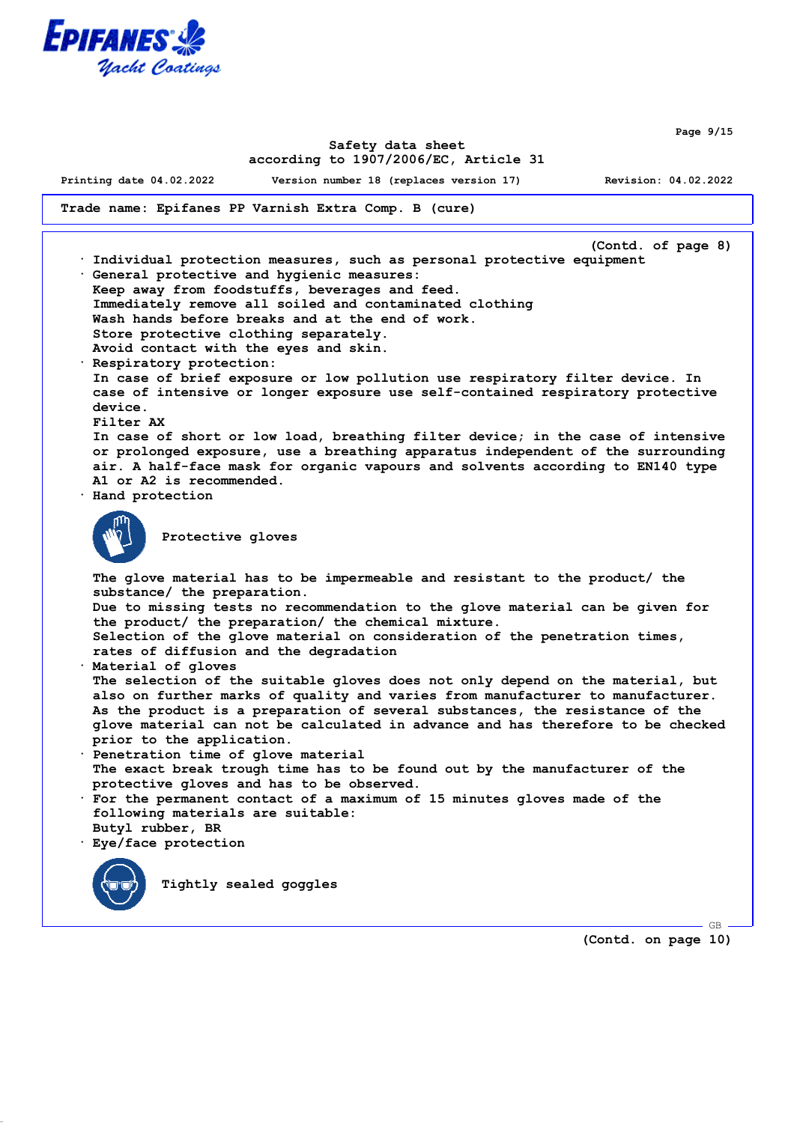

**Page 9/15**

### **Safety data sheet according to 1907/2006/EC, Article 31**

**Printing date 04.02.2022 Version number 18 (replaces version 17) Revision: 04.02.2022**

**Trade name: Epifanes PP Varnish Extra Comp. B (cure)**

**(Contd. of page 8) · Individual protection measures, such as personal protective equipment · General protective and hygienic measures: Keep away from foodstuffs, beverages and feed. Immediately remove all soiled and contaminated clothing Wash hands before breaks and at the end of work. Store protective clothing separately. Avoid contact with the eyes and skin. · Respiratory protection: In case of brief exposure or low pollution use respiratory filter device. In case of intensive or longer exposure use self-contained respiratory protective device. Filter AX In case of short or low load, breathing filter device; in the case of intensive or prolonged exposure, use a breathing apparatus independent of the surrounding air. A half-face mask for organic vapours and solvents according to EN140 type A1 or A2 is recommended. · Hand protection Protective gloves The glove material has to be impermeable and resistant to the product/ the substance/ the preparation. Due to missing tests no recommendation to the glove material can be given for the product/ the preparation/ the chemical mixture. Selection of the glove material on consideration of the penetration times, rates of diffusion and the degradation · Material of gloves The selection of the suitable gloves does not only depend on the material, but also on further marks of quality and varies from manufacturer to manufacturer. As the product is a preparation of several substances, the resistance of the glove material can not be calculated in advance and has therefore to be checked prior to the application. · Penetration time of glove material The exact break trough time has to be found out by the manufacturer of the protective gloves and has to be observed. · For the permanent contact of a maximum of 15 minutes gloves made of the following materials are suitable: Butyl rubber, BR · Eye/face protection Tightly sealed goggles**

**(Contd. on page 10)**

GB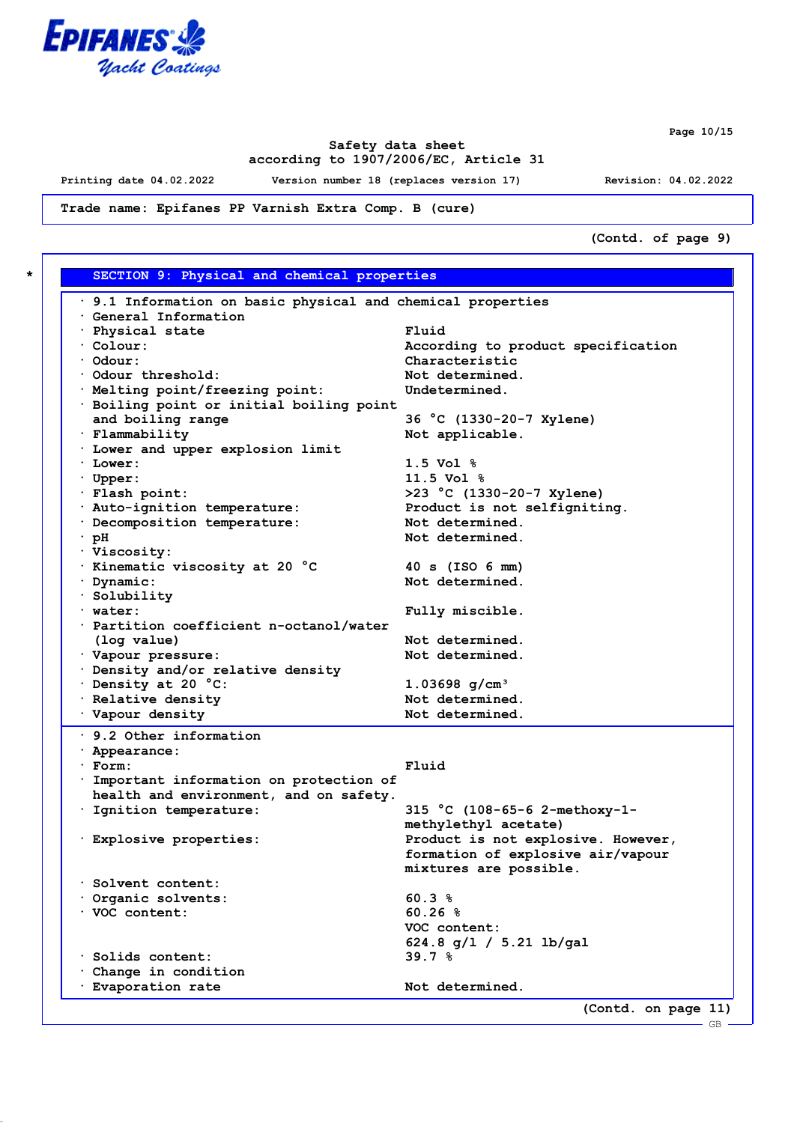

**Page 10/15**

GB

## **Safety data sheet according to 1907/2006/EC, Article 31**

**Printing date 04.02.2022 Version number 18 (replaces version 17) Revision: 04.02.2022**

**Trade name: Epifanes PP Varnish Extra Comp. B (cure)**

**(Contd. of page 9)**

| $\cdot$ 9.1 Information on basic physical and chemical properties                  |                                                                         |  |
|------------------------------------------------------------------------------------|-------------------------------------------------------------------------|--|
| General Information                                                                |                                                                         |  |
| · Physical state                                                                   | Fluid                                                                   |  |
| $\cdot$ Colour:                                                                    | According to product specification                                      |  |
| · Odour:                                                                           | Characteristic                                                          |  |
| Odour threshold:                                                                   | Not determined.                                                         |  |
| · Melting point/freezing point:                                                    | Undetermined.                                                           |  |
| · Boiling point or initial boiling point                                           |                                                                         |  |
| and boiling range                                                                  | 36 °C (1330-20-7 Xylene)                                                |  |
| · Flammability                                                                     | Not applicable.                                                         |  |
| . Lower and upper explosion limit                                                  |                                                                         |  |
| $\cdot$ Lower:                                                                     | $1.5 \text{ Vol }$ %                                                    |  |
| $\cdot$ Upper:                                                                     | $11.5 \text{ Vol }$ %                                                   |  |
| · Flash point:                                                                     | $>23$ °C (1330-20-7 Xylene)                                             |  |
| · Auto-ignition temperature:                                                       | Product is not selfigniting.                                            |  |
| · Decomposition temperature:                                                       | Not determined.                                                         |  |
| $\cdot$ pH                                                                         | Not determined.                                                         |  |
| · Viscosity:                                                                       |                                                                         |  |
| · Kinematic viscosity at 20 °C                                                     | $40 s$ (ISO 6 mm)                                                       |  |
| · Dynamic:                                                                         | Not determined.                                                         |  |
| · Solubility                                                                       |                                                                         |  |
| $\cdot$ water:                                                                     | Fully miscible.                                                         |  |
| · Partition coefficient n-octanol/water                                            |                                                                         |  |
| (log value)                                                                        | Not determined.                                                         |  |
| · Vapour pressure:                                                                 | Not determined.                                                         |  |
| · Density and/or relative density                                                  |                                                                         |  |
| Density at 20 °C:                                                                  | 1.03698 $g/cm^3$                                                        |  |
| · Relative density                                                                 | Not determined.                                                         |  |
| · Vapour density                                                                   | Not determined.                                                         |  |
| 9.2 Other information                                                              |                                                                         |  |
| · Appearance:                                                                      | Fluid                                                                   |  |
| $·$ Form:                                                                          |                                                                         |  |
| · Important information on protection of<br>health and environment, and on safety. |                                                                         |  |
|                                                                                    |                                                                         |  |
| · Ignition temperature:                                                            | 315 °C (108-65-6 2-methoxy-1-                                           |  |
|                                                                                    | methylethyl acetate)                                                    |  |
| · Explosive properties:                                                            | Product is not explosive. However,<br>formation of explosive air/vapour |  |
|                                                                                    |                                                                         |  |
| Solvent content:                                                                   | mixtures are possible.                                                  |  |
| Organic solvents:                                                                  | 60.3%                                                                   |  |
| <b>VOC</b> content:                                                                | 60.26%                                                                  |  |
|                                                                                    | VOC content:                                                            |  |
|                                                                                    |                                                                         |  |
| Solids content:                                                                    | $624.8$ g/l / 5.21 lb/gal<br>39.7%                                      |  |
|                                                                                    |                                                                         |  |
| Change in condition<br>· Evaporation rate                                          | Not determined.                                                         |  |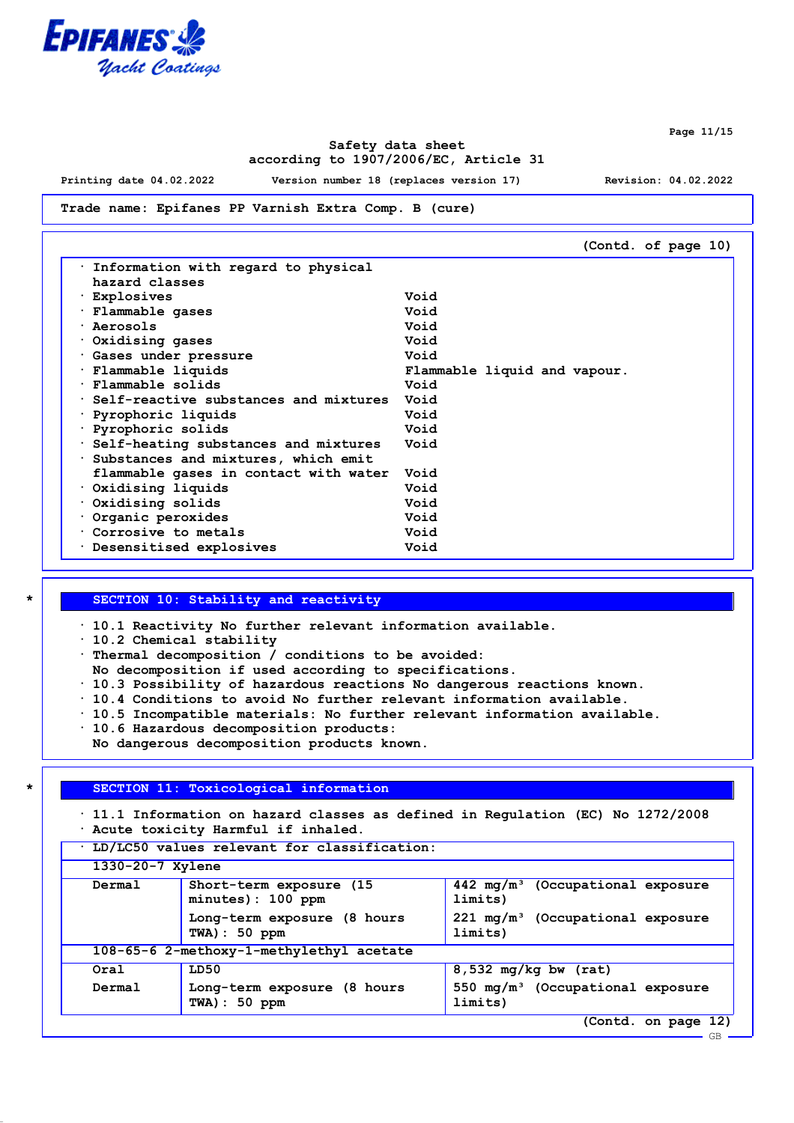

### **Safety data sheet according to 1907/2006/EC, Article 31**

**Printing date 04.02.2022 Version number 18 (replaces version 17) Revision: 04.02.2022**

#### **Trade name: Epifanes PP Varnish Extra Comp. B (cure)**

|                                       | (Contd. of page 10)          |
|---------------------------------------|------------------------------|
| . Information with regard to physical |                              |
| hazard classes                        |                              |
| · Explosives                          | Void                         |
| · Flammable gases                     | Void                         |
| · Aerosols                            | Void                         |
| $\cdot$ Oxidising gases               | Void                         |
| Gases under pressure                  | Void                         |
| · Flammable liquids                   | Flammable liquid and vapour. |
| · Flammable solids                    | Void                         |
| Self-reactive substances and mixtures | Void                         |
| · Pyrophoric liquids                  | Void                         |
| · Pyrophoric solids                   | Void                         |
| Self-heating substances and mixtures  | Void                         |
| Substances and mixtures, which emit   |                              |
| flammable gases in contact with water | Void                         |
| $\cdot$ Oxidising liquids             | Void                         |
| $\cdot$ Oxidising solids              | Void                         |
| Organic peroxides                     | Void                         |
| Corrosive to metals                   | Void                         |
| . Desensitised explosives             | Void                         |

#### **\* SECTION 10: Stability and reactivity**

**· 10.1 Reactivity No further relevant information available.**

**· 10.2 Chemical stability**

- **· Thermal decomposition / conditions to be avoided:**
- **No decomposition if used according to specifications.**
- **· 10.3 Possibility of hazardous reactions No dangerous reactions known.**
- **· 10.4 Conditions to avoid No further relevant information available.**
- **· 10.5 Incompatible materials: No further relevant information available.**
- **· 10.6 Hazardous decomposition products:**
- **No dangerous decomposition products known.**

### **\* SECTION 11: Toxicological information**

**· 11.1 Information on hazard classes as defined in Regulation (EC) No 1272/2008 · Acute toxicity Harmful if inhaled.**

| LD/LC50 values relevant for classification: |                                                 |                                                        |  |
|---------------------------------------------|-------------------------------------------------|--------------------------------------------------------|--|
|                                             | $1330 - 20 - 7$ Xylene                          |                                                        |  |
| Dermal                                      | Short-term exposure (15)<br>minutes): 100 ppm   | $442 \text{ mg/m}^3$ (Occupational exposure<br>limits) |  |
|                                             | Long-term exposure (8 hours<br>$TWA$ ) : 50 ppm | $221 \text{ mg/m}^3$ (Occupational exposure<br>limits) |  |
|                                             | 108-65-6 2-methoxy-1-methylethyl acetate        |                                                        |  |
| Oral                                        | LD50                                            | $8,532$ mg/kg bw (rat)                                 |  |
| Dermal                                      | Long-term exposure (8 hours<br>$TWA$ ) : 50 ppm | 550 $mq/m^3$ (Occupational exposure<br>limits)         |  |
|                                             |                                                 | (Contd. on page 12)                                    |  |

**Page 11/15**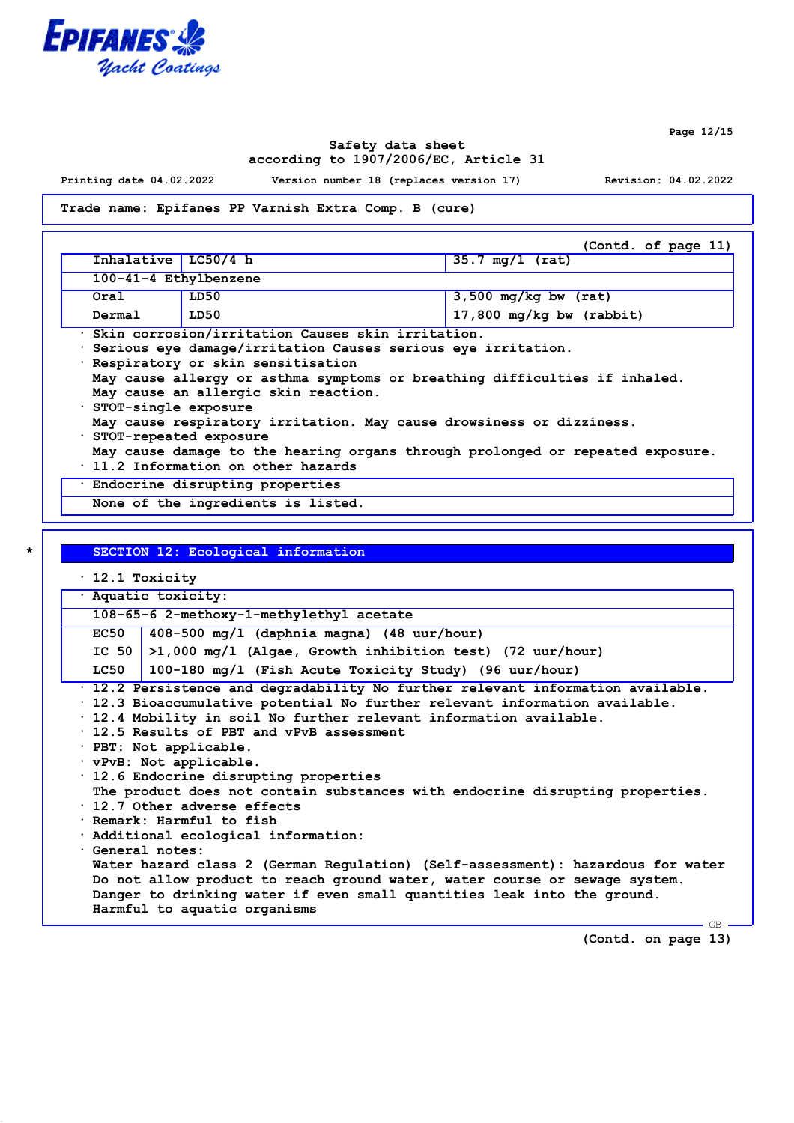

**Page 12/15**

### **Safety data sheet according to 1907/2006/EC, Article 31**

**Printing date 04.02.2022 Version number 18 (replaces version 17) Revision: 04.02.2022**

#### **Trade name: Epifanes PP Varnish Extra Comp. B (cure)**

|                                                   |                       | (Contd. of page 11)               |  |
|---------------------------------------------------|-----------------------|-----------------------------------|--|
| Inhalative $LC50/4 h$                             |                       | $35.7 \text{ mg}/1 \text{ (rat)}$ |  |
|                                                   | 100-41-4 Ethylbenzene |                                   |  |
| Oral                                              | LD50                  | $3,500$ mg/kg bw (rat)            |  |
| $17,800$ mg/kg bw (rabbit)<br>LD50<br>Dermal      |                       |                                   |  |
| Skin corrosion/irritation Causes skin irritation. |                       |                                   |  |

**· Serious eye damage/irritation Causes serious eye irritation.**

**· Respiratory or skin sensitisation**

|  |                                        |  |  | May cause allergy or asthma symptoms or breathing difficulties if inhaled. |  |
|--|----------------------------------------|--|--|----------------------------------------------------------------------------|--|
|  | . Maii aansa su sllamada ahdu maaabdan |  |  |                                                                            |  |

**May cause an allergic skin reaction.**

**· STOT-single exposure**

**May cause respiratory irritation. May cause drowsiness or dizziness.**

**· STOT-repeated exposure**

- **May cause damage to the hearing organs through prolonged or repeated exposure.**
- **· 11.2 Information on other hazards**

**· Endocrine disrupting properties**

**None of the ingredients is listed.**

|             | $\cdot$ 12.1 Toxicity                                                                                                                                                                                                                                                                                                                                                                                                                                                                                                                                                                                                                                                                                                                                                                                                                                                                      |  |  |  |  |  |
|-------------|--------------------------------------------------------------------------------------------------------------------------------------------------------------------------------------------------------------------------------------------------------------------------------------------------------------------------------------------------------------------------------------------------------------------------------------------------------------------------------------------------------------------------------------------------------------------------------------------------------------------------------------------------------------------------------------------------------------------------------------------------------------------------------------------------------------------------------------------------------------------------------------------|--|--|--|--|--|
|             | · Aquatic toxicity:                                                                                                                                                                                                                                                                                                                                                                                                                                                                                                                                                                                                                                                                                                                                                                                                                                                                        |  |  |  |  |  |
|             | 108-65-6 2-methoxy-1-methylethyl acetate                                                                                                                                                                                                                                                                                                                                                                                                                                                                                                                                                                                                                                                                                                                                                                                                                                                   |  |  |  |  |  |
| <b>EC50</b> | $408-500$ mg/l (daphnia magna) (48 uur/hour)                                                                                                                                                                                                                                                                                                                                                                                                                                                                                                                                                                                                                                                                                                                                                                                                                                               |  |  |  |  |  |
|             | IC 50 $>1,000$ mg/l (Algae, Growth inhibition test) (72 uur/hour)                                                                                                                                                                                                                                                                                                                                                                                                                                                                                                                                                                                                                                                                                                                                                                                                                          |  |  |  |  |  |
| LC50        | 100-180 mg/l (Fish Acute Toxicity Study) (96 uur/hour)                                                                                                                                                                                                                                                                                                                                                                                                                                                                                                                                                                                                                                                                                                                                                                                                                                     |  |  |  |  |  |
|             | · 12.2 Persistence and degradability No further relevant information available.<br>$\cdot$ 12.3 Bioaccumulative potential No further relevant information available.<br>. 12.4 Mobility in soil No further relevant information available.<br>. 12.5 Results of PBT and vPvB assessment<br>· PBT: Not applicable.<br>vPvB: Not applicable.<br>$\cdot$ 12.6 Endocrine disrupting properties<br>The product does not contain substances with endocrine disrupting properties.<br>$\cdot$ 12.7 Other adverse effects<br>· Remark: Harmful to fish<br>$\cdot$ Additional ecological information:<br>Ceneral notes:<br>Water hazard class 2 (German Regulation) (Self-assessment): hazardous for water<br>Do not allow product to reach ground water, water course or sewage system.<br>Danger to drinking water if even small quantities leak into the ground.<br>Harmful to aquatic organisms |  |  |  |  |  |

**(Contd. on page 13)**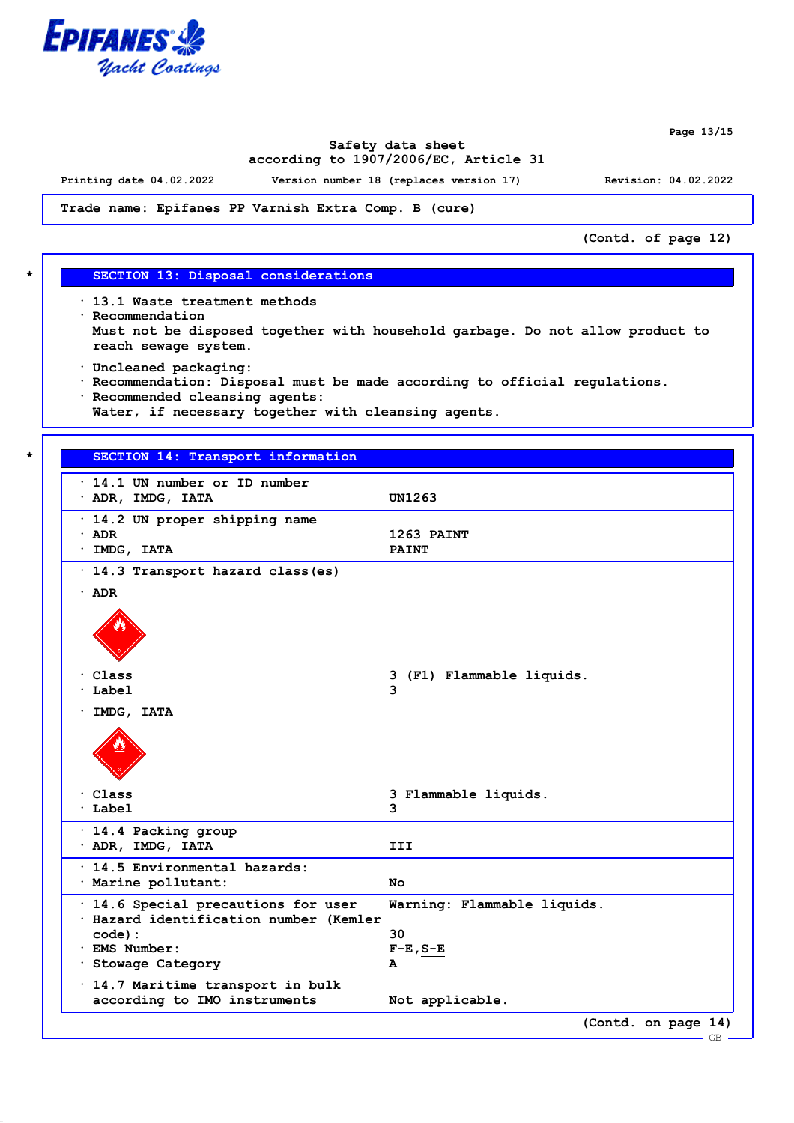

**Page 13/15**

### **Safety data sheet according to 1907/2006/EC, Article 31**

**Printing date 04.02.2022 Version number 18 (replaces version 17) Revision: 04.02.2022**

**Trade name: Epifanes PP Varnish Extra Comp. B (cure)**

**(Contd. of page 12)**

#### **\* SECTION 13: Disposal considerations**

**· 13.1 Waste treatment methods · Recommendation Must not be disposed together with household garbage. Do not allow product to reach sewage system.**

- **· Uncleaned packaging:**
- **· Recommendation: Disposal must be made according to official regulations. · Recommended cleansing agents:**
- **Water, if necessary together with cleansing agents.**

#### **\* SECTION 14: Transport information**

| $\cdot$ 14.1 UN number or ID number<br>· ADR, IMDG, IATA                      | <b>UN1263</b>               |
|-------------------------------------------------------------------------------|-----------------------------|
| · 14.2 UN proper shipping name<br>$\cdot$ ADR<br>· IMDG, IATA                 | 1263 PAINT<br><b>PAINT</b>  |
| · 14.3 Transport hazard class (es)                                            |                             |
| $\cdot$ ADR                                                                   |                             |
|                                                                               |                             |
| Class                                                                         | 3 (F1) Flammable liquids.   |
| Label                                                                         | 3                           |
| · IMDG, IATA                                                                  | <u>.</u>                    |
|                                                                               |                             |
| $\cdot$ Class                                                                 | 3 Flammable liquids.        |
| · Label                                                                       | 3                           |
| · 14.4 Packing group<br>· ADR, IMDG, IATA                                     | III                         |
| · 14.5 Environmental hazards:                                                 |                             |
| · Marine pollutant:                                                           | No.                         |
| · 14.6 Special precautions for user<br>· Hazard identification number (Kemler | Warning: Flammable liquids. |
| $code)$ :                                                                     | 30                          |
| · EMS Number:                                                                 | $F-E$ , $S-E$               |
| · Stowage Category                                                            | A                           |
| · 14.7 Maritime transport in bulk                                             |                             |
| according to IMO instruments                                                  | Not applicable.             |
|                                                                               | (Contd. on page 14)         |
|                                                                               | GB                          |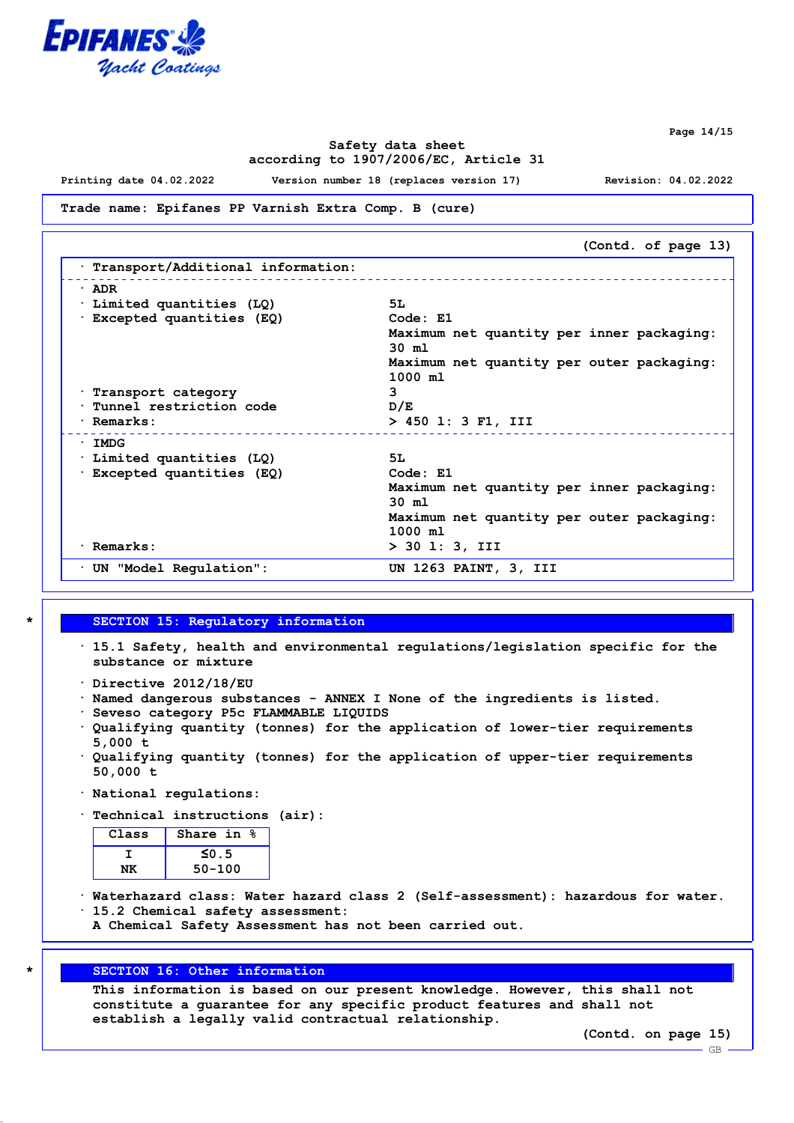

**Page 14/15**

## **Safety data sheet according to 1907/2006/EC, Article 31**

**Printing date 04.02.2022 Version number 18 (replaces version 17) Revision: 04.02.2022**

#### **Trade name: Epifanes PP Varnish Extra Comp. B (cure)**

|                                   | (Contd. of page 13)                       |
|-----------------------------------|-------------------------------------------|
| Transport/Additional information: |                                           |
| $\cdot$ ADR                       |                                           |
| Limited quantities (LQ)           | 5L                                        |
| Excepted quantities (EQ)          | Code: E1                                  |
|                                   | Maximum net quantity per inner packaging: |
|                                   | $30 \text{ m1}$                           |
|                                   | Maximum net quantity per outer packaging: |
|                                   | 1000 m1                                   |
| Transport category                | 3                                         |
| Tunnel restriction code           | D/E                                       |
| · Remarks:                        | > 450 1: 3 F1, III                        |
| $\cdot$ IMDG                      |                                           |
| Limited quantities (LQ)           | 5L                                        |
| Excepted quantities (EQ)          | Code: E1                                  |
|                                   | Maximum net quantity per inner packaging: |
|                                   | $30 \text{ m1}$                           |
|                                   | Maximum net quantity per outer packaging: |
|                                   | 1000 m1                                   |
| · Remarks:                        | $> 30$ 1: 3, III                          |
| $\cdot$ UN "Model Regulation":    | UN 1263 PAINT, 3, III                     |

#### **\* SECTION 15: Regulatory information**

- **· 15.1 Safety, health and environmental regulations/legislation specific for the substance or mixture**
- **· Directive 2012/18/EU**
- **· Named dangerous substances ANNEX I None of the ingredients is listed.**
- **· Seveso category P5c FLAMMABLE LIQUIDS**
- **· Qualifying quantity (tonnes) for the application of lower-tier requirements 5,000 t**
- **· Qualifying quantity (tonnes) for the application of upper-tier requirements 50,000 t**
- **· National regulations:**
- **· Technical instructions (air):**

| Share in $\frac{6}{3}$ |  |  |  |  |
|------------------------|--|--|--|--|
| $\leq 0.5$             |  |  |  |  |
| $50 - 100$             |  |  |  |  |
|                        |  |  |  |  |

- **· Waterhazard class: Water hazard class 2 (Self-assessment): hazardous for water. · 15.2 Chemical safety assessment:**
	- **A Chemical Safety Assessment has not been carried out.**

# **\* SECTION 16: Other information**

**This information is based on our present knowledge. However, this shall not constitute a guarantee for any specific product features and shall not establish a legally valid contractual relationship.**

**(Contd. on page 15)**

GB